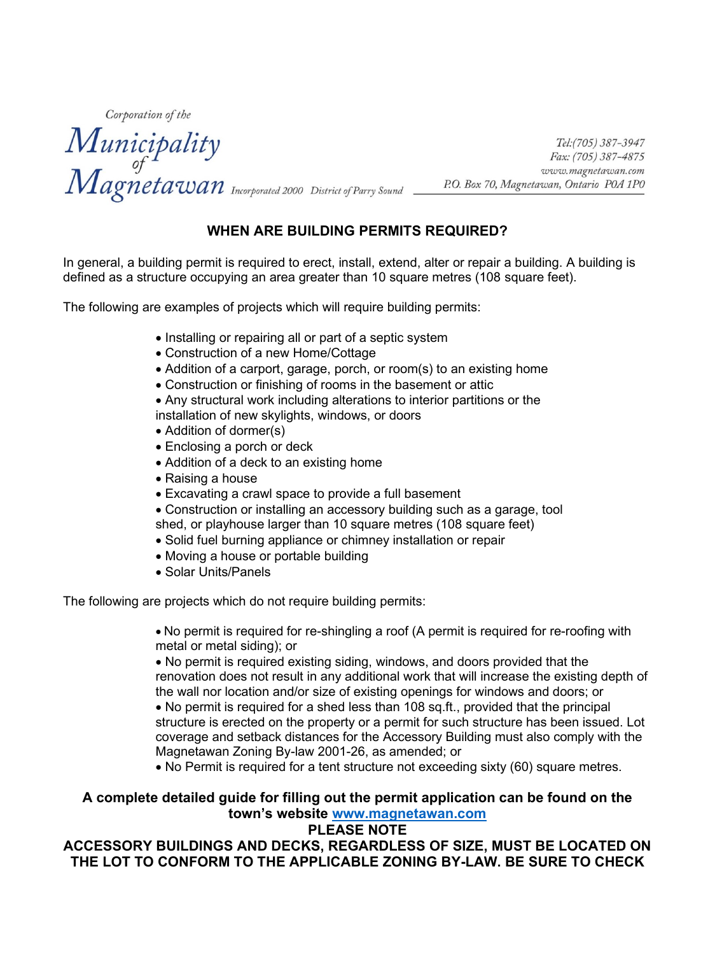Corporation of the

Municipality<br>of *Fax:* (705) 387-3947<br>Magneta Wan Incorporated 2000 District of Parry Sound P.O. Box 70, Magnetawan, Ontario POA 1PO

### **WHEN ARE BUILDING PERMITS REQUIRED?**

In general, a building permit is required to erect, install, extend, alter or repair a building. A building is defined as a structure occupying an area greater than 10 square metres (108 square feet).

The following are examples of projects which will require building permits:

- Installing or repairing all or part of a septic system
- Construction of a new Home/Cottage
- Addition of a carport, garage, porch, or room(s) to an existing home
- Construction or finishing of rooms in the basement or attic
- Any structural work including alterations to interior partitions or the
- installation of new skylights, windows, or doors
- Addition of dormer(s)
- Enclosing a porch or deck
- Addition of a deck to an existing home
- Raising a house
- Excavating a crawl space to provide a full basement
- Construction or installing an accessory building such as a garage, tool shed, or playhouse larger than 10 square metres (108 square feet)
- Solid fuel burning appliance or chimney installation or repair
- Moving a house or portable building
- Solar Units/Panels

The following are projects which do not require building permits:

• No permit is required for re-shingling a roof (A permit is required for re-roofing with metal or metal siding); or

• No permit is required existing siding, windows, and doors provided that the renovation does not result in any additional work that will increase the existing depth of the wall nor location and/or size of existing openings for windows and doors; or

• No permit is required for a shed less than 108 sq.ft., provided that the principal structure is erected on the property or a permit for such structure has been issued. Lot coverage and setback distances for the Accessory Building must also comply with the Magnetawan Zoning By-law 2001-26, as amended; or

• No Permit is required for a tent structure not exceeding sixty (60) square metres.

#### **A complete detailed guide for filling out the permit application can be found on the town's website [www.magnetawan.com](http://www.magnetawan.com/)**

#### **PLEASE NOTE**

#### **ACCESSORY BUILDINGS AND DECKS, REGARDLESS OF SIZE, MUST BE LOCATED ON THE LOT TO CONFORM TO THE APPLICABLE ZONING BY-LAW. BE SURE TO CHECK**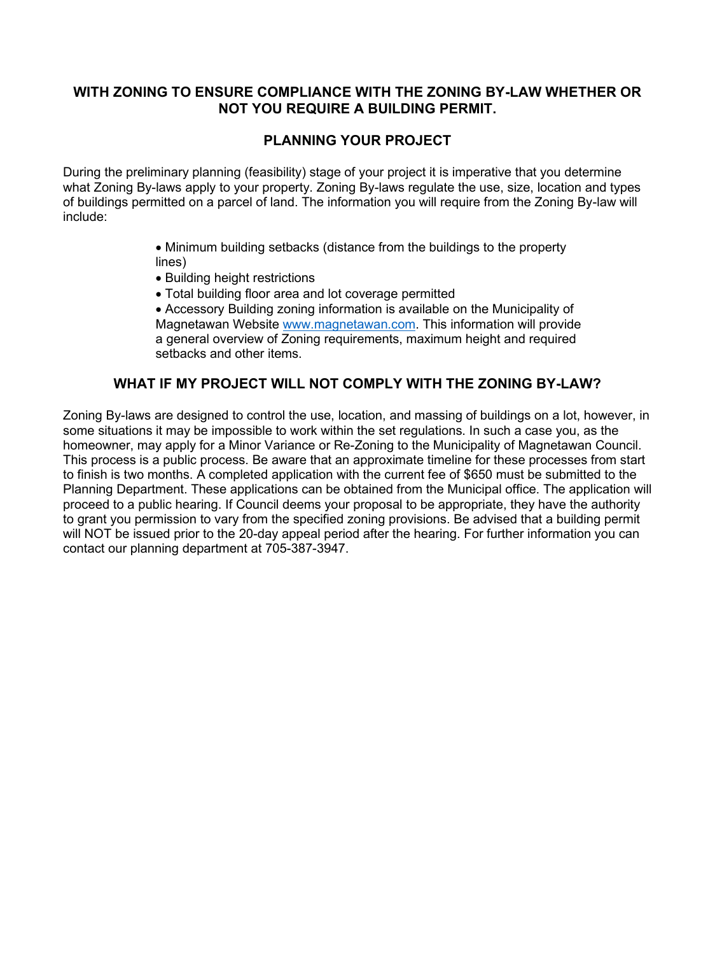#### **WITH ZONING TO ENSURE COMPLIANCE WITH THE ZONING BY-LAW WHETHER OR NOT YOU REQUIRE A BUILDING PERMIT.**

#### **PLANNING YOUR PROJECT**

During the preliminary planning (feasibility) stage of your project it is imperative that you determine what Zoning By-laws apply to your property. Zoning By-laws regulate the use, size, location and types of buildings permitted on a parcel of land. The information you will require from the Zoning By-law will include:

- Minimum building setbacks (distance from the buildings to the property lines)
- Building height restrictions
- Total building floor area and lot coverage permitted
- Accessory Building zoning information is available on the Municipality of Magnetawan Website [www.magnetawan.com.](http://www.magnetawan.com/) This information will provide a general overview of Zoning requirements, maximum height and required setbacks and other items.

#### **WHAT IF MY PROJECT WILL NOT COMPLY WITH THE ZONING BY-LAW?**

Zoning By-laws are designed to control the use, location, and massing of buildings on a lot, however, in some situations it may be impossible to work within the set regulations. In such a case you, as the homeowner, may apply for a Minor Variance or Re-Zoning to the Municipality of Magnetawan Council. This process is a public process. Be aware that an approximate timeline for these processes from start to finish is two months. A completed application with the current fee of \$650 must be submitted to the Planning Department. These applications can be obtained from the Municipal office. The application will proceed to a public hearing. If Council deems your proposal to be appropriate, they have the authority to grant you permission to vary from the specified zoning provisions. Be advised that a building permit will NOT be issued prior to the 20-day appeal period after the hearing. For further information you can contact our planning department at 705-387-3947.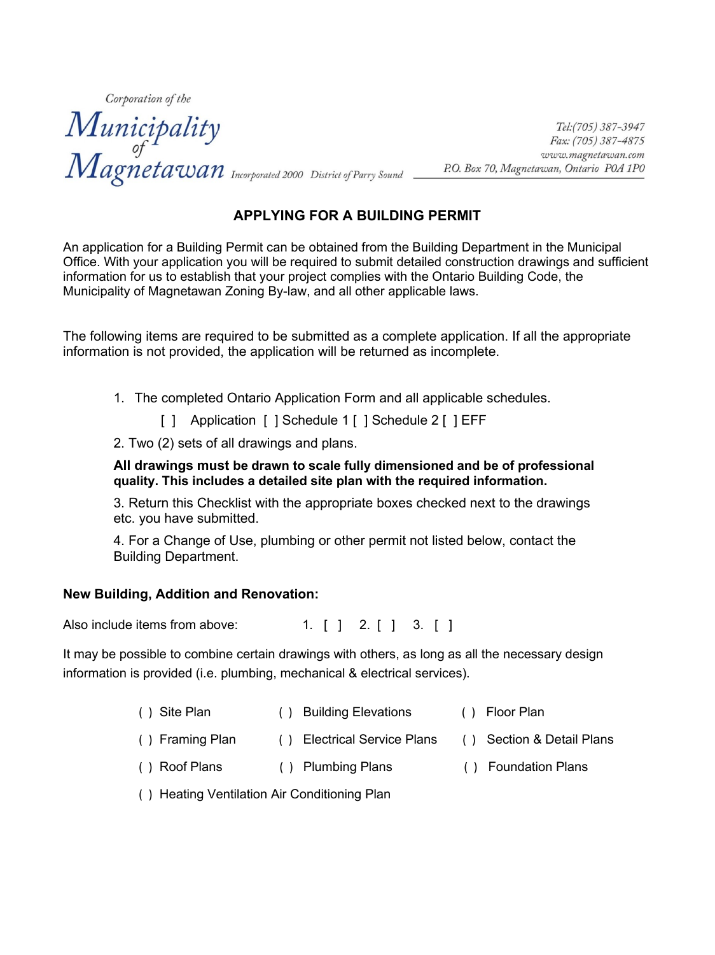Corporation of the Municipality<br>
of Fax: (705) 387-3947<br>
Magneta Wan Incorporated 2000 District of Parry Sound P.O. Box 70, Magnetawan, Ontario POA 1PO

#### **APPLYING FOR A BUILDING PERMIT**

An application for a Building Permit can be obtained from the Building Department in the Municipal Office. With your application you will be required to submit detailed construction drawings and sufficient information for us to establish that your project complies with the Ontario Building Code, the Municipality of Magnetawan Zoning By-law, and all other applicable laws.

The following items are required to be submitted as a complete application. If all the appropriate information is not provided, the application will be returned as incomplete.

1. The completed Ontario Application Form and all applicable schedules.

[ ] Application [ ] Schedule 1 [ ] Schedule 2 [ ] EFF

2. Two (2) sets of all drawings and plans.

**All drawings must be drawn to scale fully dimensioned and be of professional quality. This includes a detailed site plan with the required information.**

3. Return this Checklist with the appropriate boxes checked next to the drawings etc. you have submitted.

4. For a Change of Use, plumbing or other permit not listed below, contact the Building Department.

#### **New Building, Addition and Renovation:**

Also include items from above:  $\begin{bmatrix} 1 \\ 1 \end{bmatrix}$  1.  $\begin{bmatrix} 1 \\ 2 \end{bmatrix}$  3.  $\begin{bmatrix} 1 \\ 3 \end{bmatrix}$ 

It may be possible to combine certain drawings with others, as long as all the necessary design information is provided (i.e. plumbing, mechanical & electrical services).

- ( ) Site Plan ( ) Building Elevations ( ) Floor Plan
- ( ) Framing Plan ( ) Electrical Service Plans ( ) Section & Detail Plans
- ( ) Roof Plans ( ) Plumbing Plans ( ) Foundation Plans
- ( ) Heating Ventilation Air Conditioning Plan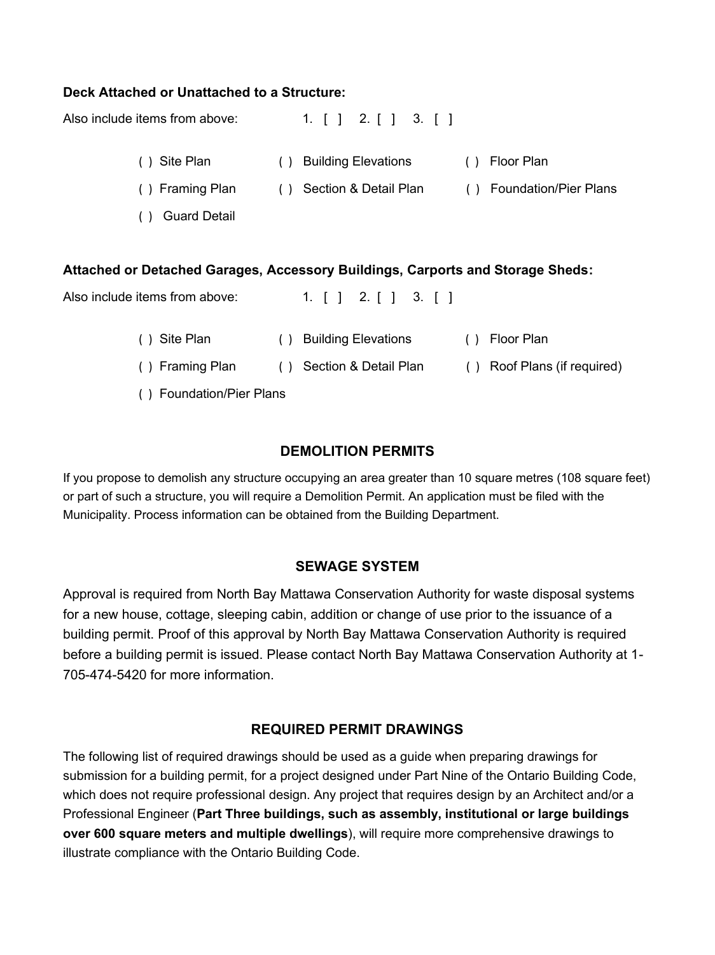#### **Deck Attached or Unattached to a Structure:**

Also include items from above:  $\begin{bmatrix} 1 \\ 1 \end{bmatrix}$  1.  $\begin{bmatrix} 1 \\ 2 \end{bmatrix}$  3.  $\begin{bmatrix} 1 \\ 3 \end{bmatrix}$ ( ) Site Plan ( ) Building Elevations ( ) Floor Plan ( ) Framing Plan ( ) Section & Detail Plan ( ) Foundation/Pier Plans ( ) Guard Detail **Attached or Detached Garages, Accessory Buildings, Carports and Storage Sheds:** Also include items from above:  $\begin{bmatrix} 1 \\ 1 \end{bmatrix}$  1.  $\begin{bmatrix} 1 \\ 2 \end{bmatrix}$  3.  $\begin{bmatrix} 1 \\ 3 \end{bmatrix}$ 

> ( ) Site Plan ( ) Building Elevations ( ) Floor Plan ( ) Framing Plan ( ) Section & Detail Plan ( ) Roof Plans (if required)

( ) Foundation/Pier Plans

#### **DEMOLITION PERMITS**

If you propose to demolish any structure occupying an area greater than 10 square metres (108 square feet) or part of such a structure, you will require a Demolition Permit. An application must be filed with the Municipality. Process information can be obtained from the Building Department.

#### **SEWAGE SYSTEM**

Approval is required from North Bay Mattawa Conservation Authority for waste disposal systems for a new house, cottage, sleeping cabin, addition or change of use prior to the issuance of a building permit. Proof of this approval by North Bay Mattawa Conservation Authority is required before a building permit is issued. Please contact North Bay Mattawa Conservation Authority at 1- 705-474-5420 for more information.

#### **REQUIRED PERMIT DRAWINGS**

The following list of required drawings should be used as a guide when preparing drawings for submission for a building permit, for a project designed under Part Nine of the Ontario Building Code, which does not require professional design. Any project that requires design by an Architect and/or a Professional Engineer (**Part Three buildings, such as assembly, institutional or large buildings over 600 square meters and multiple dwellings**), will require more comprehensive drawings to illustrate compliance with the Ontario Building Code.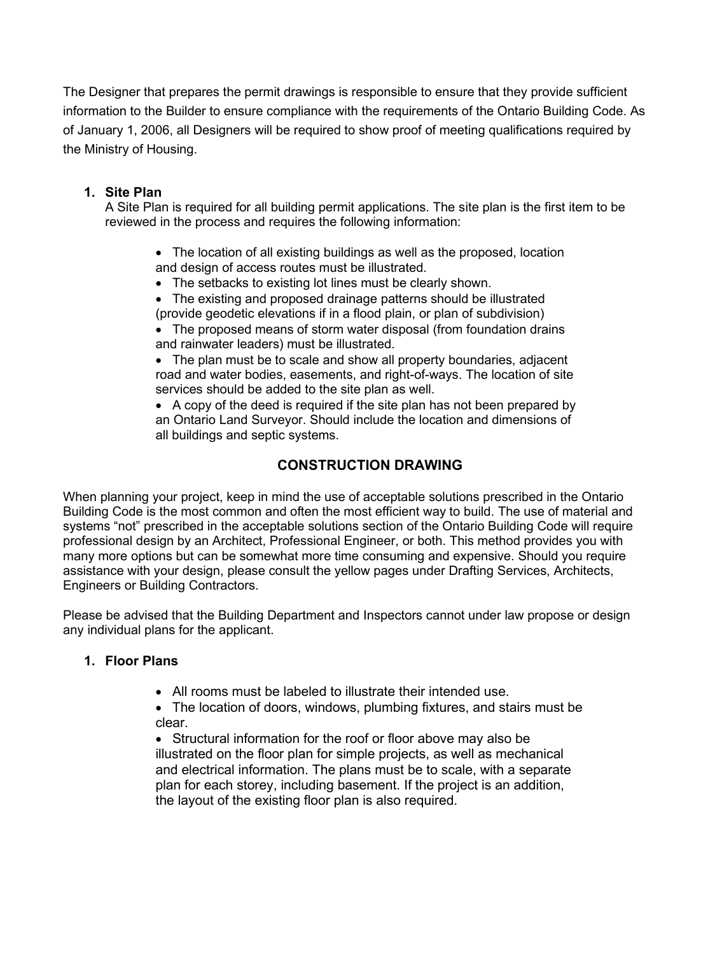The Designer that prepares the permit drawings is responsible to ensure that they provide sufficient information to the Builder to ensure compliance with the requirements of the Ontario Building Code. As of January 1, 2006, all Designers will be required to show proof of meeting qualifications required by the Ministry of Housing.

#### **1. Site Plan**

A Site Plan is required for all building permit applications. The site plan is the first item to be reviewed in the process and requires the following information:

- The location of all existing buildings as well as the proposed, location and design of access routes must be illustrated.
- The setbacks to existing lot lines must be clearly shown.
- The existing and proposed drainage patterns should be illustrated (provide geodetic elevations if in a flood plain, or plan of subdivision)
- The proposed means of storm water disposal (from foundation drains and rainwater leaders) must be illustrated.
- The plan must be to scale and show all property boundaries, adjacent road and water bodies, easements, and right-of-ways. The location of site services should be added to the site plan as well.
- A copy of the deed is required if the site plan has not been prepared by an Ontario Land Surveyor. Should include the location and dimensions of all buildings and septic systems.

#### **CONSTRUCTION DRAWING**

When planning your project, keep in mind the use of acceptable solutions prescribed in the Ontario Building Code is the most common and often the most efficient way to build. The use of material and systems "not" prescribed in the acceptable solutions section of the Ontario Building Code will require professional design by an Architect, Professional Engineer, or both. This method provides you with many more options but can be somewhat more time consuming and expensive. Should you require assistance with your design, please consult the yellow pages under Drafting Services, Architects, Engineers or Building Contractors.

Please be advised that the Building Department and Inspectors cannot under law propose or design any individual plans for the applicant.

#### **1. Floor Plans**

- All rooms must be labeled to illustrate their intended use.
- The location of doors, windows, plumbing fixtures, and stairs must be clear.

• Structural information for the roof or floor above may also be illustrated on the floor plan for simple projects, as well as mechanical and electrical information. The plans must be to scale, with a separate plan for each storey, including basement. If the project is an addition, the layout of the existing floor plan is also required.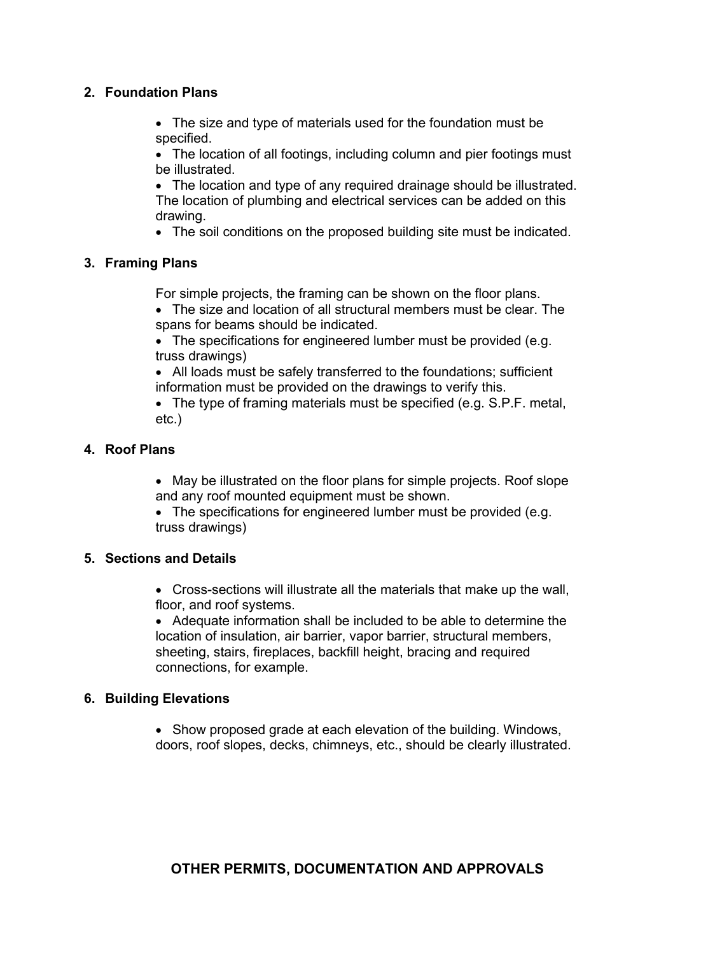#### **2. Foundation Plans**

• The size and type of materials used for the foundation must be specified.

• The location of all footings, including column and pier footings must be illustrated.

• The location and type of any required drainage should be illustrated. The location of plumbing and electrical services can be added on this drawing.

• The soil conditions on the proposed building site must be indicated.

#### **3. Framing Plans**

For simple projects, the framing can be shown on the floor plans.

• The size and location of all structural members must be clear. The spans for beams should be indicated.

• The specifications for engineered lumber must be provided (e.g. truss drawings)

• All loads must be safely transferred to the foundations; sufficient information must be provided on the drawings to verify this.

• The type of framing materials must be specified (e.g. S.P.F. metal, etc.)

#### **4. Roof Plans**

• May be illustrated on the floor plans for simple projects. Roof slope and any roof mounted equipment must be shown.

• The specifications for engineered lumber must be provided (e.g. truss drawings)

#### **5. Sections and Details**

• Cross-sections will illustrate all the materials that make up the wall, floor, and roof systems.

• Adequate information shall be included to be able to determine the location of insulation, air barrier, vapor barrier, structural members, sheeting, stairs, fireplaces, backfill height, bracing and required connections, for example.

#### **6. Building Elevations**

• Show proposed grade at each elevation of the building. Windows, doors, roof slopes, decks, chimneys, etc., should be clearly illustrated.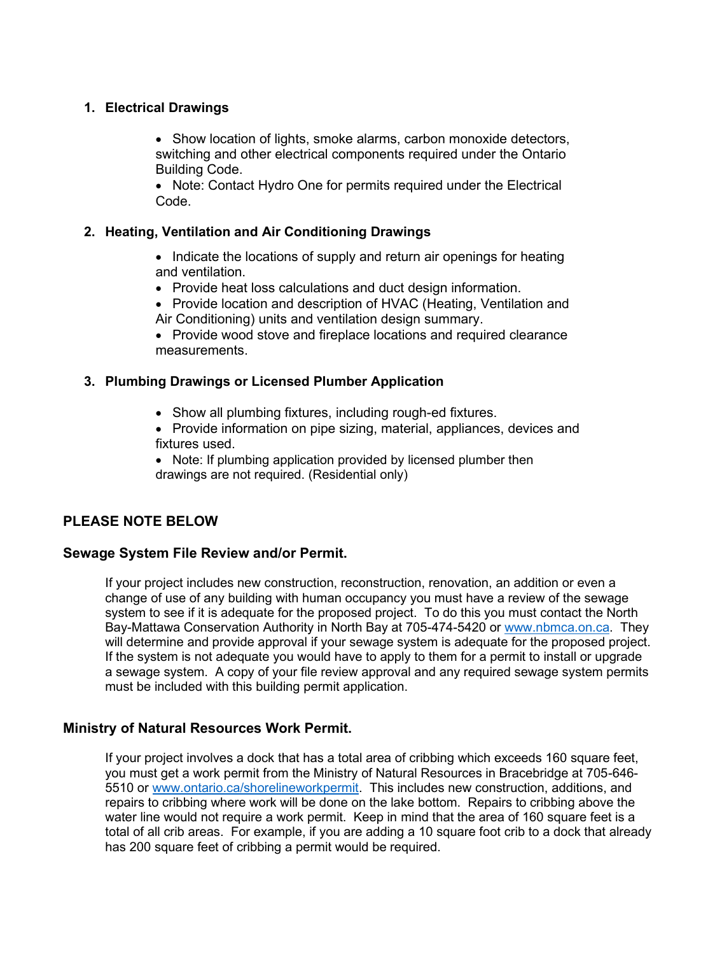#### **1. Electrical Drawings**

• Show location of lights, smoke alarms, carbon monoxide detectors, switching and other electrical components required under the Ontario Building Code.

• Note: Contact Hydro One for permits required under the Electrical Code.

#### **2. Heating, Ventilation and Air Conditioning Drawings**

- Indicate the locations of supply and return air openings for heating and ventilation.
- Provide heat loss calculations and duct design information.
- Provide location and description of HVAC (Heating, Ventilation and Air Conditioning) units and ventilation design summary.

• Provide wood stove and fireplace locations and required clearance measurements.

#### **3. Plumbing Drawings or Licensed Plumber Application**

- Show all plumbing fixtures, including rough-ed fixtures.
- Provide information on pipe sizing, material, appliances, devices and fixtures used.

• Note: If plumbing application provided by licensed plumber then drawings are not required. (Residential only)

#### **PLEASE NOTE BELOW**

#### **Sewage System File Review and/or Permit.**

If your project includes new construction, reconstruction, renovation, an addition or even a change of use of any building with human occupancy you must have a review of the sewage system to see if it is adequate for the proposed project. To do this you must contact the North Bay-Mattawa Conservation Authority in North Bay at 705-474-5420 or [www.nbmca.on.ca.](http://www.nbmca.on.ca/) They will determine and provide approval if your sewage system is adequate for the proposed project. If the system is not adequate you would have to apply to them for a permit to install or upgrade a sewage system. A copy of your file review approval and any required sewage system permits must be included with this building permit application.

#### **Ministry of Natural Resources Work Permit.**

If your project involves a dock that has a total area of cribbing which exceeds 160 square feet, you must get a work permit from the Ministry of Natural Resources in Bracebridge at 705-646- 5510 or [www.ontario.ca/shorelineworkpermit.](http://www.ontario.ca/shorelineworkpermit) This includes new construction, additions, and repairs to cribbing where work will be done on the lake bottom. Repairs to cribbing above the water line would not require a work permit. Keep in mind that the area of 160 square feet is a total of all crib areas. For example, if you are adding a 10 square foot crib to a dock that already has 200 square feet of cribbing a permit would be required.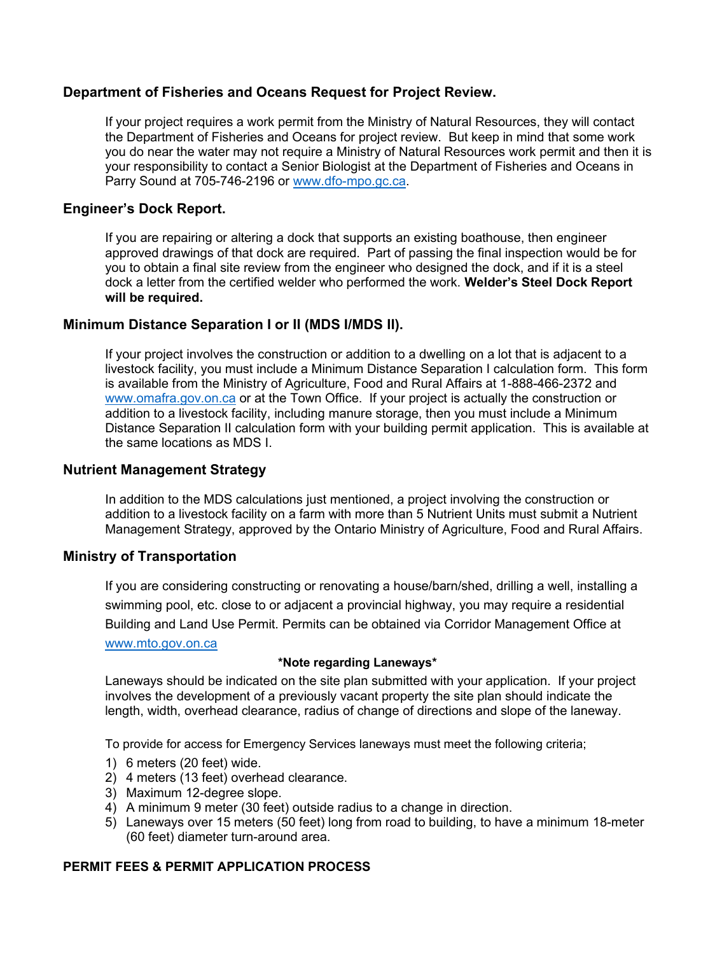#### **Department of Fisheries and Oceans Request for Project Review.**

If your project requires a work permit from the Ministry of Natural Resources, they will contact the Department of Fisheries and Oceans for project review. But keep in mind that some work you do near the water may not require a Ministry of Natural Resources work permit and then it is your responsibility to contact a Senior Biologist at the Department of Fisheries and Oceans in Parry Sound at 705-746-2196 or [www.dfo-mpo.gc.ca.](http://www.dfo-mpo.gc.ca/)

#### **Engineer's Dock Report.**

If you are repairing or altering a dock that supports an existing boathouse, then engineer approved drawings of that dock are required. Part of passing the final inspection would be for you to obtain a final site review from the engineer who designed the dock, and if it is a steel dock a letter from the certified welder who performed the work. **Welder's Steel Dock Report will be required.**

#### **Minimum Distance Separation I or II (MDS I/MDS II).**

If your project involves the construction or addition to a dwelling on a lot that is adjacent to a livestock facility, you must include a Minimum Distance Separation I calculation form. This form is available from the Ministry of Agriculture, Food and Rural Affairs at 1-888-466-2372 and [www.omafra.gov.on.ca](http://www.omafra.gov.on.ca/) or at the Town Office. If your project is actually the construction or addition to a livestock facility, including manure storage, then you must include a Minimum Distance Separation II calculation form with your building permit application. This is available at the same locations as MDS I.

#### **Nutrient Management Strategy**

In addition to the MDS calculations just mentioned, a project involving the construction or addition to a livestock facility on a farm with more than 5 Nutrient Units must submit a Nutrient Management Strategy, approved by the Ontario Ministry of Agriculture, Food and Rural Affairs.

#### **Ministry of Transportation**

If you are considering constructing or renovating a house/barn/shed, drilling a well, installing a swimming pool, etc. close to or adjacent a provincial highway, you may require a residential Building and Land Use Permit. Permits can be obtained via Corridor Management Office at [www.mto.gov.on.ca](http://www.mto.gov.on.ca/)

#### **\*Note regarding Laneways\***

Laneways should be indicated on the site plan submitted with your application. If your project involves the development of a previously vacant property the site plan should indicate the length, width, overhead clearance, radius of change of directions and slope of the laneway.

To provide for access for Emergency Services laneways must meet the following criteria;

- 1) 6 meters (20 feet) wide.
- 2) 4 meters (13 feet) overhead clearance.
- 3) Maximum 12-degree slope.
- 4) A minimum 9 meter (30 feet) outside radius to a change in direction.
- 5) Laneways over 15 meters (50 feet) long from road to building, to have a minimum 18-meter (60 feet) diameter turn-around area.

#### **PERMIT FEES & PERMIT APPLICATION PROCESS**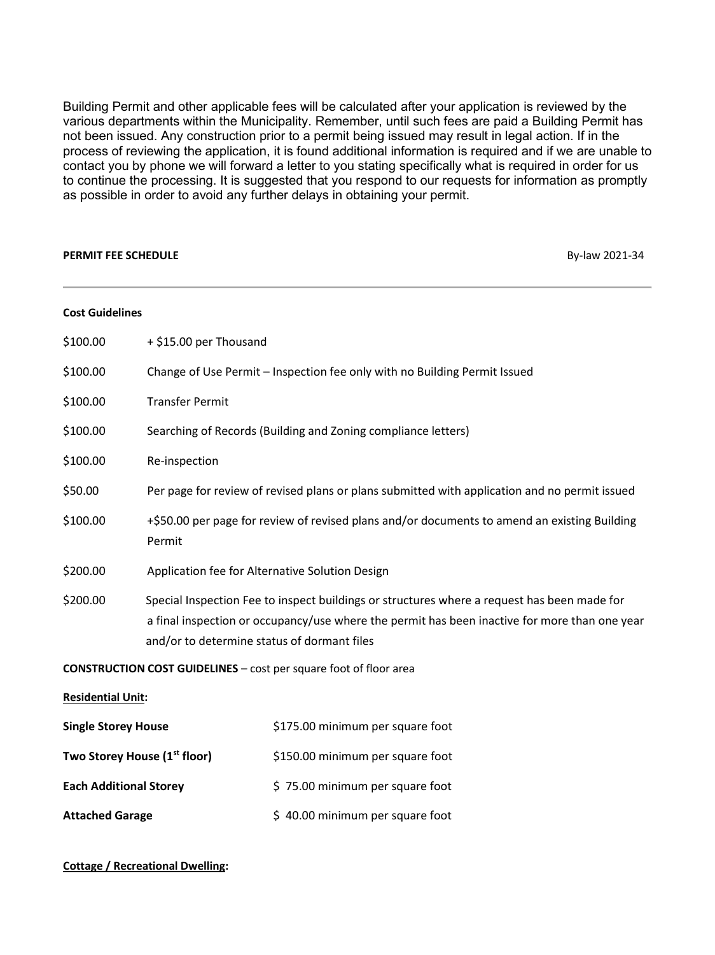Building Permit and other applicable fees will be calculated after your application is reviewed by the various departments within the Municipality. Remember, until such fees are paid a Building Permit has not been issued. Any construction prior to a permit being issued may result in legal action. If in the process of reviewing the application, it is found additional information is required and if we are unable to contact you by phone we will forward a letter to you stating specifically what is required in order for us to continue the processing. It is suggested that you respond to our requests for information as promptly as possible in order to avoid any further delays in obtaining your permit.

#### **PERMIT FEE SCHEDULE** By-law 2021-34

| <b>Cost Guidelines</b>                   |                                                                                                        |                                                                                                                                                                                              |  |  |  |  |  |  |  |  |  |
|------------------------------------------|--------------------------------------------------------------------------------------------------------|----------------------------------------------------------------------------------------------------------------------------------------------------------------------------------------------|--|--|--|--|--|--|--|--|--|
| \$100.00                                 | + \$15.00 per Thousand                                                                                 |                                                                                                                                                                                              |  |  |  |  |  |  |  |  |  |
| \$100.00                                 |                                                                                                        | Change of Use Permit - Inspection fee only with no Building Permit Issued                                                                                                                    |  |  |  |  |  |  |  |  |  |
| \$100.00                                 | <b>Transfer Permit</b>                                                                                 |                                                                                                                                                                                              |  |  |  |  |  |  |  |  |  |
| \$100.00                                 |                                                                                                        | Searching of Records (Building and Zoning compliance letters)                                                                                                                                |  |  |  |  |  |  |  |  |  |
| \$100.00                                 | Re-inspection                                                                                          |                                                                                                                                                                                              |  |  |  |  |  |  |  |  |  |
| \$50.00                                  |                                                                                                        | Per page for review of revised plans or plans submitted with application and no permit issued                                                                                                |  |  |  |  |  |  |  |  |  |
| \$100.00                                 | +\$50.00 per page for review of revised plans and/or documents to amend an existing Building<br>Permit |                                                                                                                                                                                              |  |  |  |  |  |  |  |  |  |
| \$200.00                                 | Application fee for Alternative Solution Design                                                        |                                                                                                                                                                                              |  |  |  |  |  |  |  |  |  |
| \$200.00                                 | and/or to determine status of dormant files                                                            | Special Inspection Fee to inspect buildings or structures where a request has been made for<br>a final inspection or occupancy/use where the permit has been inactive for more than one year |  |  |  |  |  |  |  |  |  |
|                                          |                                                                                                        | <b>CONSTRUCTION COST GUIDELINES</b> – cost per square foot of floor area                                                                                                                     |  |  |  |  |  |  |  |  |  |
| <b>Residential Unit:</b>                 |                                                                                                        |                                                                                                                                                                                              |  |  |  |  |  |  |  |  |  |
| <b>Single Storey House</b>               |                                                                                                        | \$175.00 minimum per square foot                                                                                                                                                             |  |  |  |  |  |  |  |  |  |
| Two Storey House (1 <sup>st</sup> floor) |                                                                                                        | \$150.00 minimum per square foot                                                                                                                                                             |  |  |  |  |  |  |  |  |  |
| <b>Each Additional Storey</b>            |                                                                                                        | \$75.00 minimum per square foot                                                                                                                                                              |  |  |  |  |  |  |  |  |  |
| <b>Attached Garage</b>                   |                                                                                                        | \$40.00 minimum per square foot                                                                                                                                                              |  |  |  |  |  |  |  |  |  |

#### **Cottage / Recreational Dwelling:**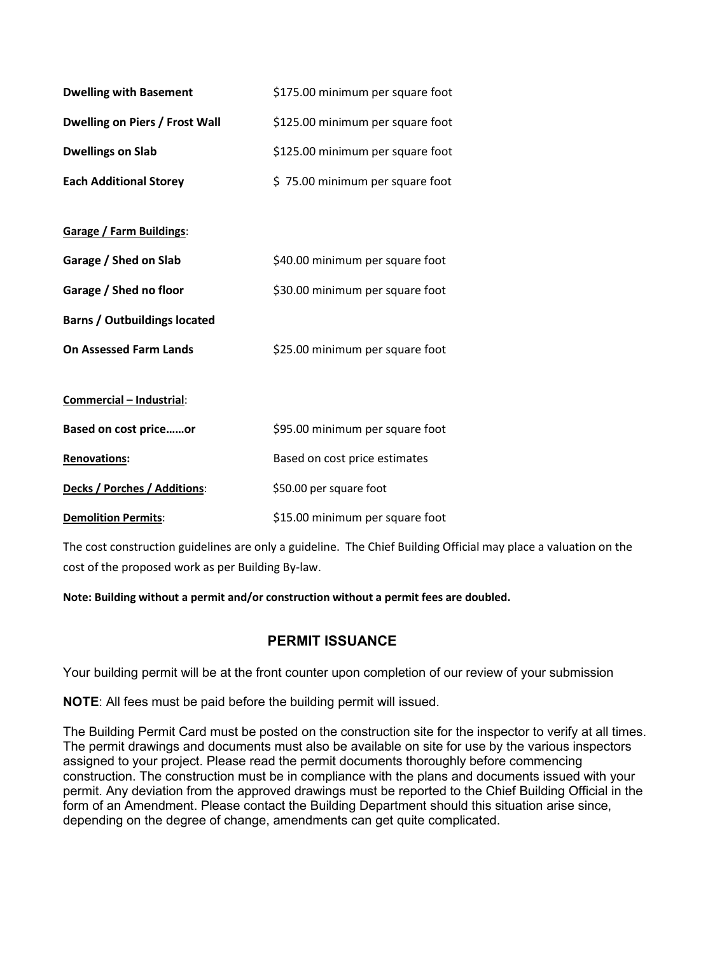| <b>Dwelling with Basement</b>         | \$175.00 minimum per square foot |
|---------------------------------------|----------------------------------|
| <b>Dwelling on Piers / Frost Wall</b> | \$125.00 minimum per square foot |
| <b>Dwellings on Slab</b>              | \$125.00 minimum per square foot |
| <b>Each Additional Storey</b>         | \$75.00 minimum per square foot  |
| <b>Garage / Farm Buildings:</b>       |                                  |
| Garage / Shed on Slab                 | \$40.00 minimum per square foot  |
| Garage / Shed no floor                | \$30.00 minimum per square foot  |
| <b>Barns / Outbuildings located</b>   |                                  |
| <b>On Assessed Farm Lands</b>         | \$25.00 minimum per square foot  |
| Commercial - Industrial:              |                                  |
| <b>Based on cost priceor</b>          | \$95.00 minimum per square foot  |
| <b>Renovations:</b>                   | Based on cost price estimates    |
| Decks / Porches / Additions:          | \$50.00 per square foot          |
| <b>Demolition Permits:</b>            | \$15.00 minimum per square foot  |

The cost construction guidelines are only a guideline. The Chief Building Official may place a valuation on the cost of the proposed work as per Building By-law.

**Note: Building without a permit and/or construction without a permit fees are doubled.** 

#### **PERMIT ISSUANCE**

Your building permit will be at the front counter upon completion of our review of your submission

**NOTE**: All fees must be paid before the building permit will issued.

The Building Permit Card must be posted on the construction site for the inspector to verify at all times. The permit drawings and documents must also be available on site for use by the various inspectors assigned to your project. Please read the permit documents thoroughly before commencing construction. The construction must be in compliance with the plans and documents issued with your permit. Any deviation from the approved drawings must be reported to the Chief Building Official in the form of an Amendment. Please contact the Building Department should this situation arise since, depending on the degree of change, amendments can get quite complicated.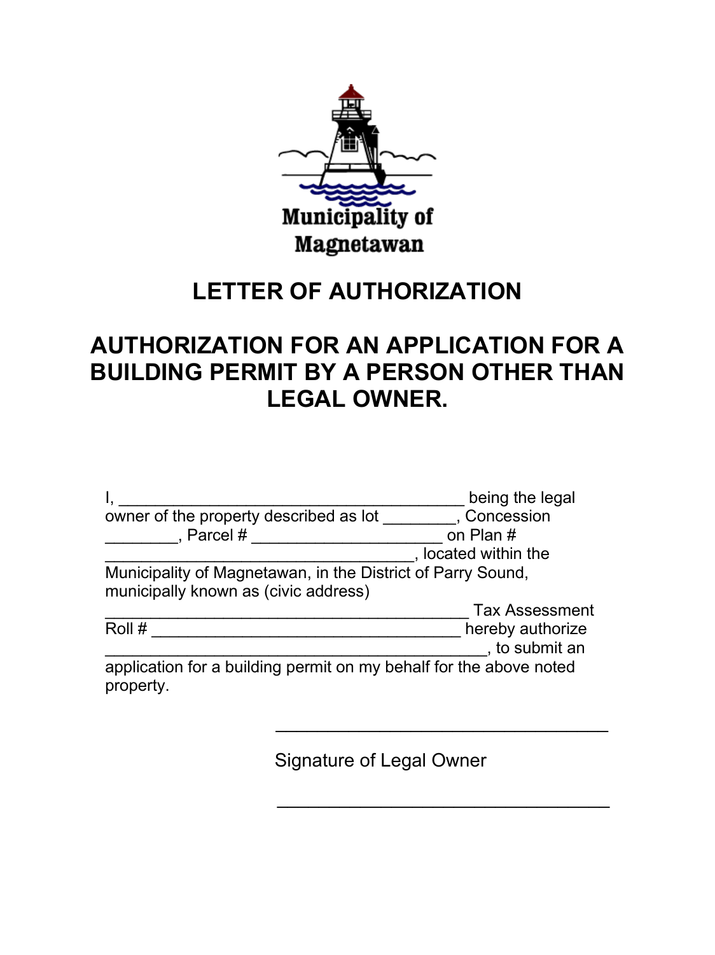

# **LETTER OF AUTHORIZATION**

# **AUTHORIZATION FOR AN APPLICATION FOR A BUILDING PERMIT BY A PERSON OTHER THAN LEGAL OWNER.**

|                                                                                                     | being the legal                    |
|-----------------------------------------------------------------------------------------------------|------------------------------------|
| owner of the property described as lot                                                              | , Concession                       |
| , Parcel $#$                                                                                        | on Plan #                          |
|                                                                                                     | located within the                 |
| Municipality of Magnetawan, in the District of Parry Sound.<br>municipally known as (civic address) |                                    |
|                                                                                                     | <b>Tax Assessment</b>              |
| Roll #                                                                                              | hereby authorize<br>, to submit an |
| application for a building permit on my behalf for the above noted<br>property.                     |                                    |

 $\mathcal{L}_\text{max}$  and  $\mathcal{L}_\text{max}$  and  $\mathcal{L}_\text{max}$  and  $\mathcal{L}_\text{max}$  and  $\mathcal{L}_\text{max}$  and  $\mathcal{L}_\text{max}$ 

Signature of Legal Owner

 $\mathcal{L}_\text{max}$  , where  $\mathcal{L}_\text{max}$  is the set of  $\mathcal{L}_\text{max}$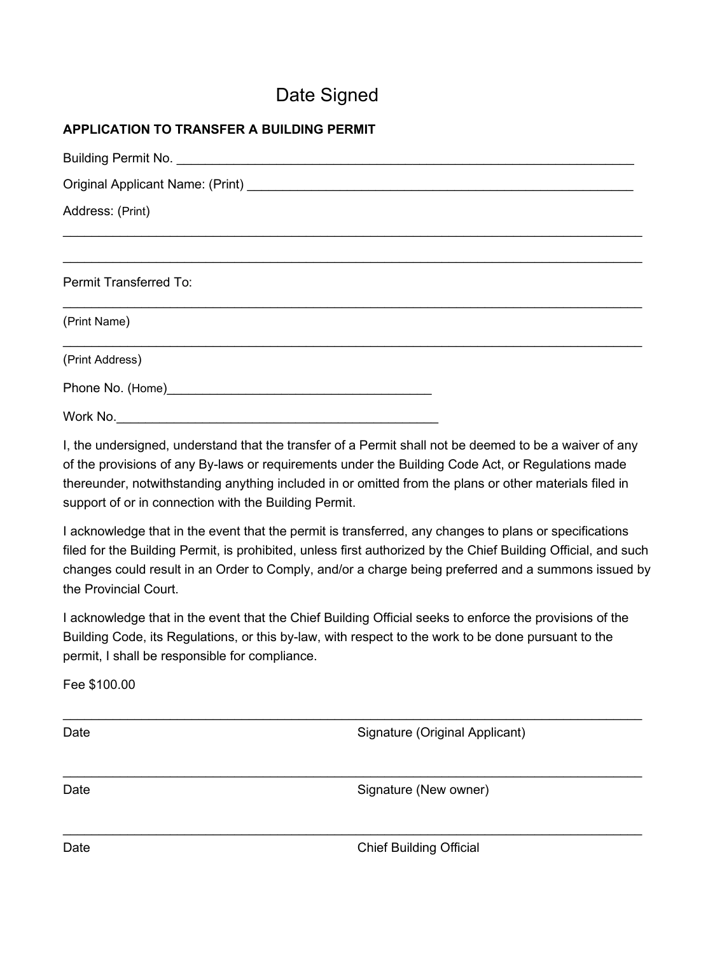## Date Signed

### **APPLICATION TO TRANSFER A BUILDING PERMIT**

| Address: (Print)              |
|-------------------------------|
|                               |
| <b>Permit Transferred To:</b> |
| (Print Name)                  |
| (Print Address)               |
|                               |
| Work No.                      |

I, the undersigned, understand that the transfer of a Permit shall not be deemed to be a waiver of any of the provisions of any By-laws or requirements under the Building Code Act, or Regulations made thereunder, notwithstanding anything included in or omitted from the plans or other materials filed in support of or in connection with the Building Permit.

I acknowledge that in the event that the permit is transferred, any changes to plans or specifications filed for the Building Permit, is prohibited, unless first authorized by the Chief Building Official, and such changes could result in an Order to Comply, and/or a charge being preferred and a summons issued by the Provincial Court.

I acknowledge that in the event that the Chief Building Official seeks to enforce the provisions of the Building Code, its Regulations, or this by-law, with respect to the work to be done pursuant to the permit, I shall be responsible for compliance.

Fee \$100.00

 $\mathcal{L}_\mathcal{L} = \mathcal{L}_\mathcal{L} = \mathcal{L}_\mathcal{L} = \mathcal{L}_\mathcal{L} = \mathcal{L}_\mathcal{L} = \mathcal{L}_\mathcal{L} = \mathcal{L}_\mathcal{L} = \mathcal{L}_\mathcal{L} = \mathcal{L}_\mathcal{L} = \mathcal{L}_\mathcal{L} = \mathcal{L}_\mathcal{L} = \mathcal{L}_\mathcal{L} = \mathcal{L}_\mathcal{L} = \mathcal{L}_\mathcal{L} = \mathcal{L}_\mathcal{L} = \mathcal{L}_\mathcal{L} = \mathcal{L}_\mathcal{L}$ Date **Signature (Original Applicant)**  $\mathcal{L}_\mathcal{L} = \mathcal{L}_\mathcal{L} = \mathcal{L}_\mathcal{L} = \mathcal{L}_\mathcal{L} = \mathcal{L}_\mathcal{L} = \mathcal{L}_\mathcal{L} = \mathcal{L}_\mathcal{L} = \mathcal{L}_\mathcal{L} = \mathcal{L}_\mathcal{L} = \mathcal{L}_\mathcal{L} = \mathcal{L}_\mathcal{L} = \mathcal{L}_\mathcal{L} = \mathcal{L}_\mathcal{L} = \mathcal{L}_\mathcal{L} = \mathcal{L}_\mathcal{L} = \mathcal{L}_\mathcal{L} = \mathcal{L}_\mathcal{L}$ Date **Signature (New owner) Date** Signature (New owner)

Date **Chief Building Official**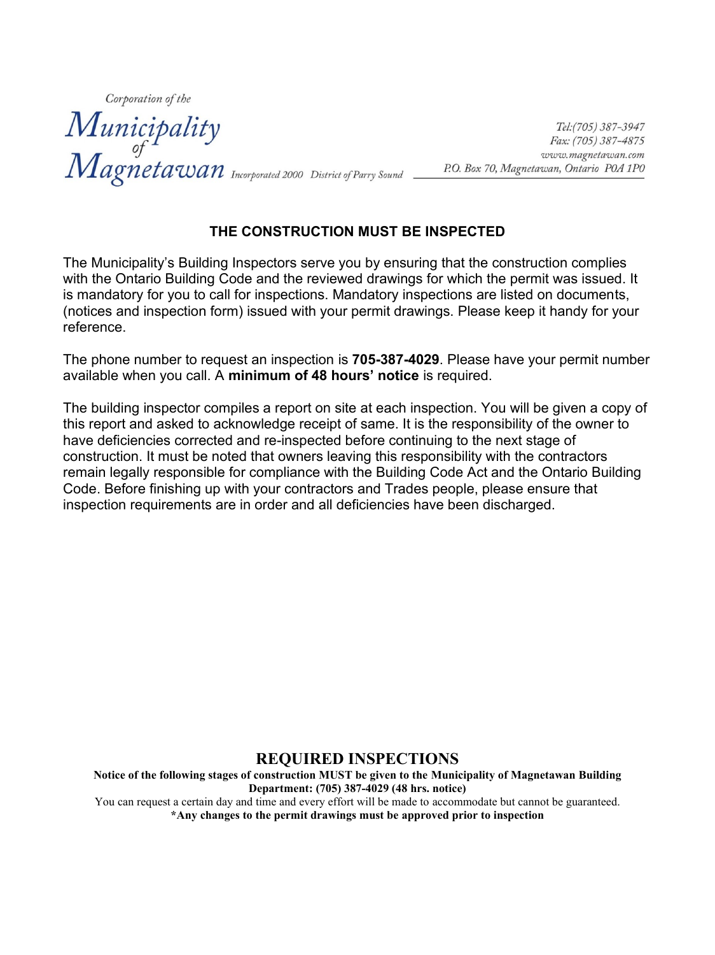Corporation of the **Municipality**<br>
of *Tel:(705)* 387-3947<br>
of *Eax: (705)* 387-4875<br> *Magneta Wan* Incorporated 2000 District of Parry Sound *P.O. Box 70, Magneta wan, Ontario POA* 1PO

#### **THE CONSTRUCTION MUST BE INSPECTED**

The Municipality's Building Inspectors serve you by ensuring that the construction complies with the Ontario Building Code and the reviewed drawings for which the permit was issued. It is mandatory for you to call for inspections. Mandatory inspections are listed on documents, (notices and inspection form) issued with your permit drawings. Please keep it handy for your reference.

The phone number to request an inspection is **705-387-4029**. Please have your permit number available when you call. A **minimum of 48 hours' notice** is required.

The building inspector compiles a report on site at each inspection. You will be given a copy of this report and asked to acknowledge receipt of same. It is the responsibility of the owner to have deficiencies corrected and re-inspected before continuing to the next stage of construction. It must be noted that owners leaving this responsibility with the contractors remain legally responsible for compliance with the Building Code Act and the Ontario Building Code. Before finishing up with your contractors and Trades people, please ensure that inspection requirements are in order and all deficiencies have been discharged.

#### **REQUIRED INSPECTIONS**

**Notice of the following stages of construction MUST be given to the Municipality of Magnetawan Building Department: (705) 387-4029 (48 hrs. notice)** You can request a certain day and time and every effort will be made to accommodate but cannot be guaranteed.

**\*Any changes to the permit drawings must be approved prior to inspection**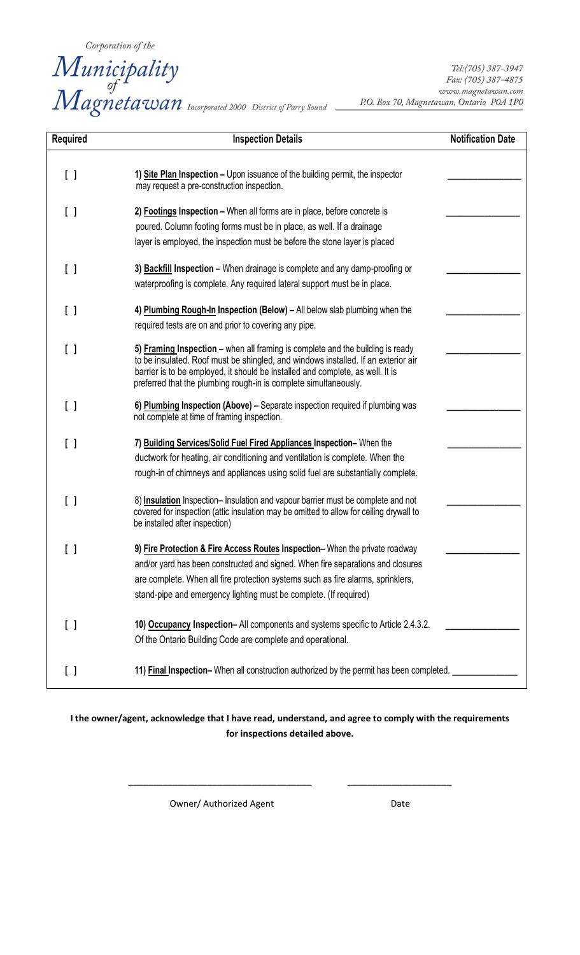Corporation of the<br>
Municipality<br>
of Magnetawan Incorporated 2000 District of Parry Sound

Tel:(705) 387-3947 Fax: (705) 387-4875 www.magnetawan.com P.O. Box 70, Magnetawan, Ontario POA 1PO

| <b>Required</b>                            | <b>Inspection Details</b>                                                                                                                                                                                                                                                                                                 | <b>Notification Date</b> |
|--------------------------------------------|---------------------------------------------------------------------------------------------------------------------------------------------------------------------------------------------------------------------------------------------------------------------------------------------------------------------------|--------------------------|
|                                            |                                                                                                                                                                                                                                                                                                                           |                          |
| $\lceil$ $\rceil$                          | 1) Site Plan Inspection - Upon issuance of the building permit, the inspector<br>may request a pre-construction inspection.                                                                                                                                                                                               |                          |
| $\left[ \ \ \right]$                       | 2) Footings Inspection - When all forms are in place, before concrete is<br>poured. Column footing forms must be in place, as well. If a drainage                                                                                                                                                                         |                          |
|                                            | layer is employed, the inspection must be before the stone layer is placed                                                                                                                                                                                                                                                |                          |
| [ ]                                        | 3) <b>Backfill Inspection -</b> When drainage is complete and any damp-proofing or<br>waterproofing is complete. Any required lateral support must be in place.                                                                                                                                                           |                          |
| $\lceil$ $\rceil$                          | 4) Plumbing Rough-In Inspection (Below) - All below slab plumbing when the<br>required tests are on and prior to covering any pipe.                                                                                                                                                                                       |                          |
| [ ]                                        | 5) Framing Inspection - when all framing is complete and the building is ready<br>to be insulated. Roof must be shingled, and windows installed. If an exterior air<br>barrier is to be employed, it should be installed and complete, as well. It is<br>preferred that the plumbing rough-in is complete simultaneously. |                          |
| [ ]                                        | 6) Plumbing Inspection (Above) - Separate inspection required if plumbing was<br>not complete at time of framing inspection.                                                                                                                                                                                              |                          |
| $\begin{smallmatrix}1\\1\end{smallmatrix}$ | 7) Building Services/Solid Fuel Fired Appliances Inspection-When the<br>ductwork for heating, air conditioning and ventilation is complete. When the<br>rough-in of chimneys and appliances using solid fuel are substantially complete.                                                                                  |                          |
| $\left[ \ \ \right]$                       | 8) Insulation Inspection- Insulation and vapour barrier must be complete and not<br>covered for inspection (attic insulation may be omitted to allow for ceiling drywall to<br>be installed after inspection)                                                                                                             |                          |
| L                                          | 9) Fire Protection & Fire Access Routes Inspection- When the private roadway<br>and/or yard has been constructed and signed. When fire separations and closures<br>are complete. When all fire protection systems such as fire alarms, sprinklers,<br>stand-pipe and emergency lighting must be complete. (If required)   |                          |
| []                                         | 10) Occupancy Inspection- All components and systems specific to Article 2.4.3.2.<br>Of the Ontario Building Code are complete and operational.                                                                                                                                                                           |                          |
| [ ]                                        | 11) Final Inspection-When all construction authorized by the permit has been completed.                                                                                                                                                                                                                                   |                          |

**I the owner/agent, acknowledge that I have read, understand, and agree to comply with the requirements for inspections detailed above.**

\_\_\_\_\_\_\_\_\_\_\_\_\_\_\_\_\_\_\_\_\_\_\_\_\_\_\_\_\_\_\_\_\_\_\_\_\_ \_\_\_\_\_\_\_\_\_\_\_\_\_\_\_\_\_\_\_\_\_

Owner/ Authorized Agent data by Date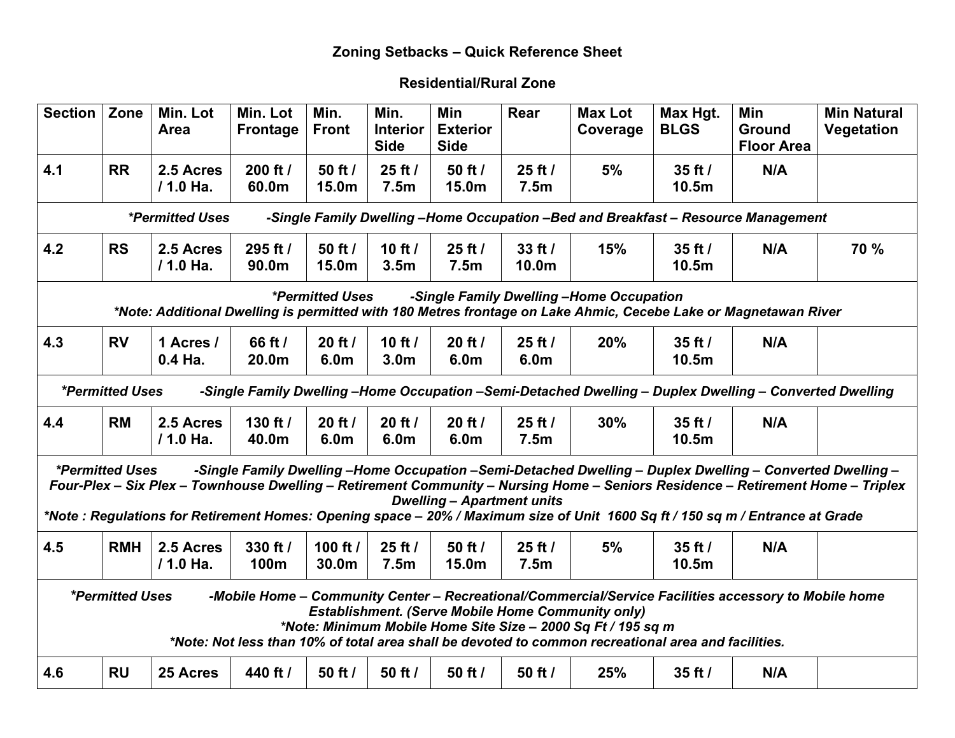### **Zoning Setbacks – Quick Reference Sheet**

### **Residential/Rural Zone**

| <b>Section</b> | Zone                                                                                                                                                                                                                                                                                                                                                               | Min. Lot<br>Area         | Min. Lot<br>Frontage | Min.<br><b>Front</b>   | Min.<br><b>Interior</b><br><b>Side</b> | Min<br><b>Exterior</b><br><b>Side</b> | Rear                             | <b>Max Lot</b><br>Coverage               | Max Hgt.<br><b>BLGS</b>          | Min<br><b>Ground</b><br><b>Floor Area</b>                                                                                                                                                                                                  | <b>Min Natural</b><br>Vegetation                                                                                                |  |
|----------------|--------------------------------------------------------------------------------------------------------------------------------------------------------------------------------------------------------------------------------------------------------------------------------------------------------------------------------------------------------------------|--------------------------|----------------------|------------------------|----------------------------------------|---------------------------------------|----------------------------------|------------------------------------------|----------------------------------|--------------------------------------------------------------------------------------------------------------------------------------------------------------------------------------------------------------------------------------------|---------------------------------------------------------------------------------------------------------------------------------|--|
| 4.1            | <b>RR</b>                                                                                                                                                                                                                                                                                                                                                          | 2.5 Acres<br>/ 1.0 Ha.   | 200 ft /<br>60.0m    | 50 ft /<br>15.0m       | 25 ft /<br>7.5 <sub>m</sub>            | 50 ft /<br>15.0m                      | 25 ft /<br>7.5m                  | 5%                                       | $35$ ft $/$<br>10.5m             | N/A                                                                                                                                                                                                                                        |                                                                                                                                 |  |
|                |                                                                                                                                                                                                                                                                                                                                                                    | <i>*Permitted Uses</i>   |                      |                        |                                        |                                       |                                  |                                          |                                  | -Single Family Dwelling -Home Occupation -Bed and Breakfast - Resource Management                                                                                                                                                          |                                                                                                                                 |  |
| 4.2            | <b>RS</b>                                                                                                                                                                                                                                                                                                                                                          | 2.5 Acres<br>$/ 1.0$ Ha. | 295 ft /<br>90.0m    | 50 ft /<br>15.0m       | 10 $ft/$<br>3.5 <sub>m</sub>           | 25 ft /<br>7.5m                       | $33$ ft $/$<br>10.0 <sub>m</sub> | 15%                                      | $35$ ft $/$<br>10.5 <sub>m</sub> | N/A                                                                                                                                                                                                                                        | 70 %                                                                                                                            |  |
|                |                                                                                                                                                                                                                                                                                                                                                                    |                          |                      | <i>*Permitted Uses</i> |                                        |                                       |                                  | -Single Family Dwelling -Home Occupation |                                  | *Note: Additional Dwelling is permitted with 180 Metres frontage on Lake Ahmic, Cecebe Lake or Magnetawan River                                                                                                                            |                                                                                                                                 |  |
| 4.3            | <b>RV</b>                                                                                                                                                                                                                                                                                                                                                          | 1 Acres /<br>0.4 Ha.     | 66 ft /<br>20.0m     | $20$ ft $/$<br>6.0m    | 10 ft $/$<br>3.0 <sub>m</sub>          | 20 ft /<br>6.0m                       | $25$ ft $/$<br>6.0m              | 20%                                      | $35$ ft $/$<br>10.5m             | N/A                                                                                                                                                                                                                                        |                                                                                                                                 |  |
|                | <i><b>*Permitted Uses</b></i>                                                                                                                                                                                                                                                                                                                                      |                          |                      |                        |                                        |                                       |                                  |                                          |                                  | -Single Family Dwelling -Home Occupation -Semi-Detached Dwelling - Duplex Dwelling - Converted Dwelling                                                                                                                                    |                                                                                                                                 |  |
| 4.4            | <b>RM</b>                                                                                                                                                                                                                                                                                                                                                          | 2.5 Acres<br>/ 1.0 Ha.   | 130 ft /<br>40.0m    | 20 ft /<br>6.0m        | 20 ft /<br>6.0m                        | $20$ ft $/$<br>6.0m                   | 25 ft /<br>7.5m                  | 30%                                      | $35$ ft $/$<br>10.5m             | N/A                                                                                                                                                                                                                                        |                                                                                                                                 |  |
|                | <i>*Permitted Uses</i>                                                                                                                                                                                                                                                                                                                                             |                          |                      |                        |                                        | <b>Dwelling - Apartment units</b>     |                                  |                                          |                                  | -Single Family Dwelling -Home Occupation -Semi-Detached Dwelling - Duplex Dwelling - Converted Dwelling -<br>*Note: Regulations for Retirement Homes: Opening space - 20% / Maximum size of Unit 1600 Sq ft / 150 sq m / Entrance at Grade | Four-Plex - Six Plex - Townhouse Dwelling - Retirement Community - Nursing Home - Seniors Residence - Retirement Home - Triplex |  |
| 4.5            | <b>RMH</b>                                                                                                                                                                                                                                                                                                                                                         | 2.5 Acres<br>/ 1.0 Ha.   | 330 ft /<br>100m     | 100 ft /<br>30.0m      | 25 ft /<br>7.5m                        | 50 ft /<br>15.0m                      | $25$ ft $/$<br>7.5m              | 5%                                       | $35$ ft $/$<br>10.5 <sub>m</sub> | N/A                                                                                                                                                                                                                                        |                                                                                                                                 |  |
|                | <i>*Permitted Uses</i><br>-Mobile Home - Community Center - Recreational/Commercial/Service Facilities accessory to Mobile home<br><b>Establishment. (Serve Mobile Home Community only)</b><br>*Note: Minimum Mobile Home Site Size - 2000 Sq Ft / 195 sq m<br>*Note: Not less than 10% of total area shall be devoted to common recreational area and facilities. |                          |                      |                        |                                        |                                       |                                  |                                          |                                  |                                                                                                                                                                                                                                            |                                                                                                                                 |  |
| 4.6            | <b>RU</b>                                                                                                                                                                                                                                                                                                                                                          | 25 Acres                 | 440 ft /             | 50 ft /                | 50 ft $/$                              | 50 ft /                               | 50 ft $/$                        | 25%                                      | $35$ ft $/$                      | N/A                                                                                                                                                                                                                                        |                                                                                                                                 |  |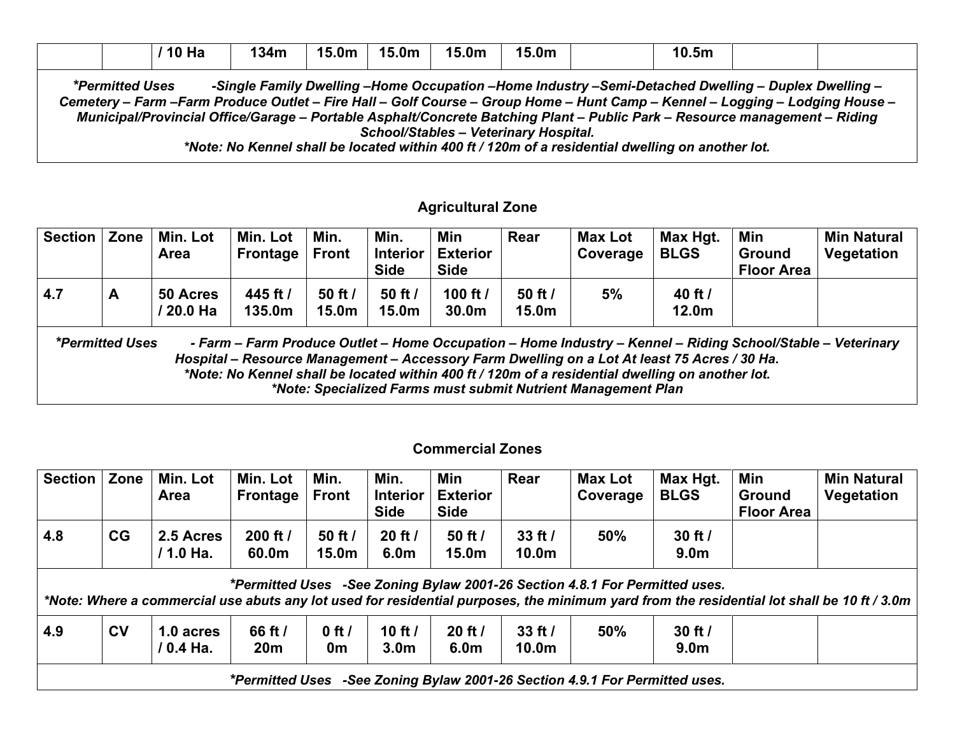|                        | ' 10 Ha | 134m | $15.0m$   15.0m | 15.0m | 15.0m | 10.5 <sub>m</sub> |                                                                                                                                                                                                                                     |  |
|------------------------|---------|------|-----------------|-------|-------|-------------------|-------------------------------------------------------------------------------------------------------------------------------------------------------------------------------------------------------------------------------------|--|
| <i>*Permitted Uses</i> |         |      |                 |       |       |                   | -Single Family Dwelling -Home Occupation -Home Industry -Semi-Detached Dwelling - Duplex Dwelling -<br>Cemetery - Farm -Farm Produce Outlet - Fire Hall - Golf Course - Group Home - Hunt Camp - Kennel - Logging - Lodging House - |  |

*Municipal/Provincial Office/Garage – Portable Asphalt/Concrete Batching Plant – Public Park – Resource management – Riding School/Stables – Veterinary Hospital.*

*\*Note: No Kennel shall be located within 400 ft / 120m of a residential dwelling on another lot.*

#### **Agricultural Zone**

| <b>Section</b>                                                                                                                                                                                                                                                                                                                                                                                             | Zone | Min. Lot<br><b>Area</b> | Min. Lot<br><b>Frontage</b>    | Min.<br><b>Front</b>             | Min.<br><b>Interior</b><br><b>Side</b> | Min<br><b>Exterior</b><br><b>Side</b> | Rear                         | <b>Max Lot</b><br>Coverage | Max Hgt.<br><b>BLGS</b>      | Min<br><b>Ground</b><br><b>Floor Area</b> | <b>Min Natural</b><br>Vegetation |
|------------------------------------------------------------------------------------------------------------------------------------------------------------------------------------------------------------------------------------------------------------------------------------------------------------------------------------------------------------------------------------------------------------|------|-------------------------|--------------------------------|----------------------------------|----------------------------------------|---------------------------------------|------------------------------|----------------------------|------------------------------|-------------------------------------------|----------------------------------|
| 4.7                                                                                                                                                                                                                                                                                                                                                                                                        | A    | 50 Acres<br>/ 20.0 Ha   | 445 ft /<br>135.0 <sub>m</sub> | $50$ ft $/$<br>15.0 <sub>m</sub> | 50 ft $/$<br>15.0 <sub>m</sub>         | 100 ft /<br>30.0 <sub>m</sub>         | 50 ft /<br>15.0 <sub>m</sub> | 5%                         | 40 ft /<br>12.0 <sub>m</sub> |                                           |                                  |
| <i>*Permitted Uses</i><br>- Farm - Farm Produce Outlet - Home Occupation - Home Industry - Kennel - Riding School/Stable - Veterinary<br>Hospital - Resource Management - Accessory Farm Dwelling on a Lot At least 75 Acres / 30 Ha.<br>*Note: No Kennel shall be located within 400 ft / 120m of a residential dwelling on another lot.<br>*Note: Specialized Farms must submit Nutrient Management Plan |      |                         |                                |                                  |                                        |                                       |                              |                            |                              |                                           |                                  |

#### **Commercial Zones**

| <b>Section</b> | Zone    | Min. Lot<br><b>Area</b> | Min. Lot<br><b>Frontage</b> | Min.<br><b>Front</b>         | Min.<br><b>Interior</b><br><b>Side</b> | Min<br><b>Exterior</b><br><b>Side</b> | Rear                             | <b>Max Lot</b><br>Coverage                                                  | Max Hgt.<br><b>BLGS</b>         | Min<br><b>Ground</b><br><b>Floor Area</b> | <b>Min Natural</b><br>Vegetation                                                                                                           |
|----------------|---------|-------------------------|-----------------------------|------------------------------|----------------------------------------|---------------------------------------|----------------------------------|-----------------------------------------------------------------------------|---------------------------------|-------------------------------------------|--------------------------------------------------------------------------------------------------------------------------------------------|
| 4.8            | CG      | 2.5 Acres<br>/ 1.0 Ha.  | 200 ft $/$<br>60.0m         | 50 ft /<br>15.0 <sub>m</sub> | $20$ ft $/$<br>6.0 <sub>m</sub>        | 50 ft $/$<br>15.0 <sub>m</sub>        | $33$ ft $/$<br>10.0 <sub>m</sub> | 50%                                                                         | $30$ ft $/$<br>9.0 <sub>m</sub> |                                           |                                                                                                                                            |
|                |         |                         |                             |                              |                                        |                                       |                                  | *Permitted Uses -See Zoning Bylaw 2001-26 Section 4.8.1 For Permitted uses. |                                 |                                           | *Note: Where a commercial use abuts any lot used for residential purposes, the minimum yard from the residential lot shall be 10 ft / 3.0m |
| 4.9            | $c_{V}$ | 1.0 acres<br>/ 0.4 Ha.  | 66 ft /<br>20 <sub>m</sub>  | $0$ ft /<br>0m               | 10 ft $/$<br>3.0 <sub>m</sub>          | $20$ ft $/$<br>6.0 <sub>m</sub>       | $33$ ft $/$<br>10.0 <sub>m</sub> | 50%                                                                         | $30$ ft $/$<br>9.0 <sub>m</sub> |                                           |                                                                                                                                            |
|                |         |                         | *Permitted Uses             |                              |                                        |                                       |                                  | -See Zoning Bylaw 2001-26 Section 4.9.1 For Permitted uses.                 |                                 |                                           |                                                                                                                                            |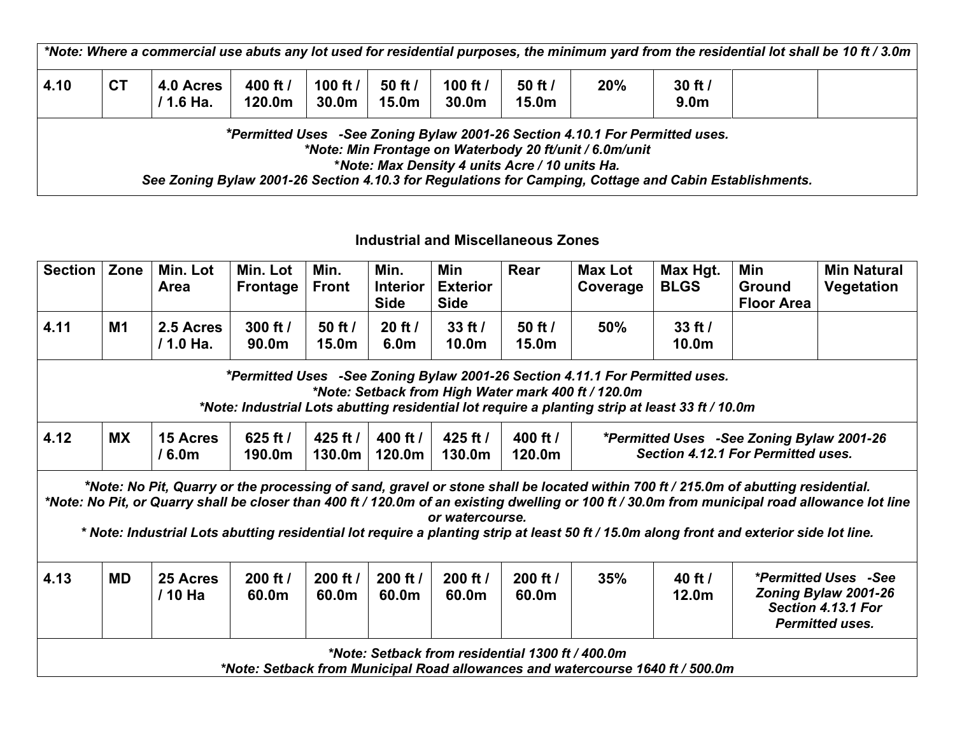|      |           |                          |                                |                    |                      |                                 |                                                |                                                                                                                                         | *Note: Where a commercial use abuts any lot used for residential purposes, the minimum yard from the residential lot shall be 10 ft / 3.0m |  |
|------|-----------|--------------------------|--------------------------------|--------------------|----------------------|---------------------------------|------------------------------------------------|-----------------------------------------------------------------------------------------------------------------------------------------|--------------------------------------------------------------------------------------------------------------------------------------------|--|
| 4.10 | <b>CT</b> | 4.0 Acres<br>$/ 1.6$ Ha. | 400 ft /<br>120.0 <sub>m</sub> | 100 $ft/$<br>30.0m | $50$ ft $/$<br>15.0m | 100 ft $/$<br>30.0 <sub>m</sub> | $50$ ft $/$<br>15.0m                           | 20%                                                                                                                                     | $30$ ft $/$<br>9.0 <sub>m</sub>                                                                                                            |  |
|      |           |                          |                                |                    |                      |                                 | *Note: Max Density 4 units Acre / 10 units Ha. | *Permitted Uses -See Zoning Bylaw 2001-26 Section 4.10.1 For Permitted uses.<br>*Note: Min Frontage on Waterbody 20 ft/unit / 6.0m/unit | See Zoning Bylaw 2001-26 Section 4.10.3 for Regulations for Camping, Cottage and Cabin Establishments.                                     |  |

#### **Industrial and Miscellaneous Zones**

| <b>Section</b> | Zone      | Min. Lot<br><b>Area</b>              | Min. Lot<br>Frontage | Min.<br><b>Front</b> | Min.<br><b>Interior</b><br><b>Side</b> | Min<br><b>Exterior</b><br><b>Side</b>            | Rear               | <b>Max Lot</b><br>Coverage                                                                                                                                                                                                             | Max Hgt.<br><b>BLGS</b>      | Min<br>Ground<br><b>Floor Area</b>                                                                                                                                                                                                                                            | <b>Min Natural</b><br>Vegetation                                                                                                               |
|----------------|-----------|--------------------------------------|----------------------|----------------------|----------------------------------------|--------------------------------------------------|--------------------|----------------------------------------------------------------------------------------------------------------------------------------------------------------------------------------------------------------------------------------|------------------------------|-------------------------------------------------------------------------------------------------------------------------------------------------------------------------------------------------------------------------------------------------------------------------------|------------------------------------------------------------------------------------------------------------------------------------------------|
| 4.11           | M1        | 2.5 Acres<br>/ 1.0 Ha.               | 300 ft /<br>90.0m    | 50 ft $/$<br>15.0m   | 20 ft /<br>6.0m                        | $33$ ft $/$<br>10.0m                             | 50 ft $/$<br>15.0m | 50%                                                                                                                                                                                                                                    | $33$ ft $/$<br>10.0m         |                                                                                                                                                                                                                                                                               |                                                                                                                                                |
|                |           |                                      |                      |                      |                                        |                                                  |                    | *Permitted Uses -See Zoning Bylaw 2001-26 Section 4.11.1 For Permitted uses.<br>*Note: Setback from High Water mark 400 ft / 120.0m<br>*Note: Industrial Lots abutting residential lot require a planting strip at least 33 ft / 10.0m |                              |                                                                                                                                                                                                                                                                               |                                                                                                                                                |
| 4.12           | <b>MX</b> | <b>15 Acres</b><br>/6.0 <sub>m</sub> | 625 ft /<br>190.0m   | 425 ft /<br>130.0m   | 400 ft /<br>120.0m                     | 425 ft /<br>130.0m                               | 400 ft /<br>120.0m |                                                                                                                                                                                                                                        |                              | <i>*Permitted Uses -See Zoning Bylaw 2001-26</i><br>Section 4.12.1 For Permitted uses.                                                                                                                                                                                        |                                                                                                                                                |
|                |           |                                      |                      |                      |                                        | or watercourse.                                  |                    |                                                                                                                                                                                                                                        |                              | *Note: No Pit, Quarry or the processing of sand, gravel or stone shall be located within 700 ft / 215.0m of abutting residential.<br>* Note: Industrial Lots abutting residential lot require a planting strip at least 50 ft / 15.0m along front and exterior side lot line. | *Note: No Pit, or Quarry shall be closer than 400 ft / 120.0m of an existing dwelling or 100 ft / 30.0m from municipal road allowance lot line |
| 4.13           | <b>MD</b> | 25 Acres<br>/ 10 Ha                  | 200 ft /<br>60.0m    | 200 ft /<br>60.0m    | 200 ft /<br>60.0m                      | 200 ft /<br>60.0m                                | 200 ft /<br>60.0m  | 35%                                                                                                                                                                                                                                    | 40 ft /<br>12.0 <sub>m</sub> |                                                                                                                                                                                                                                                                               | <i>*Permitted Uses -See</i><br>Zoning Bylaw 2001-26<br>Section 4.13.1 For<br><b>Permitted uses.</b>                                            |
|                |           |                                      |                      |                      |                                        | *Note: Setback from residential 1300 ft / 400.0m |                    | *Note: Setback from Municipal Road allowances and watercourse 1640 ft / 500.0m                                                                                                                                                         |                              |                                                                                                                                                                                                                                                                               |                                                                                                                                                |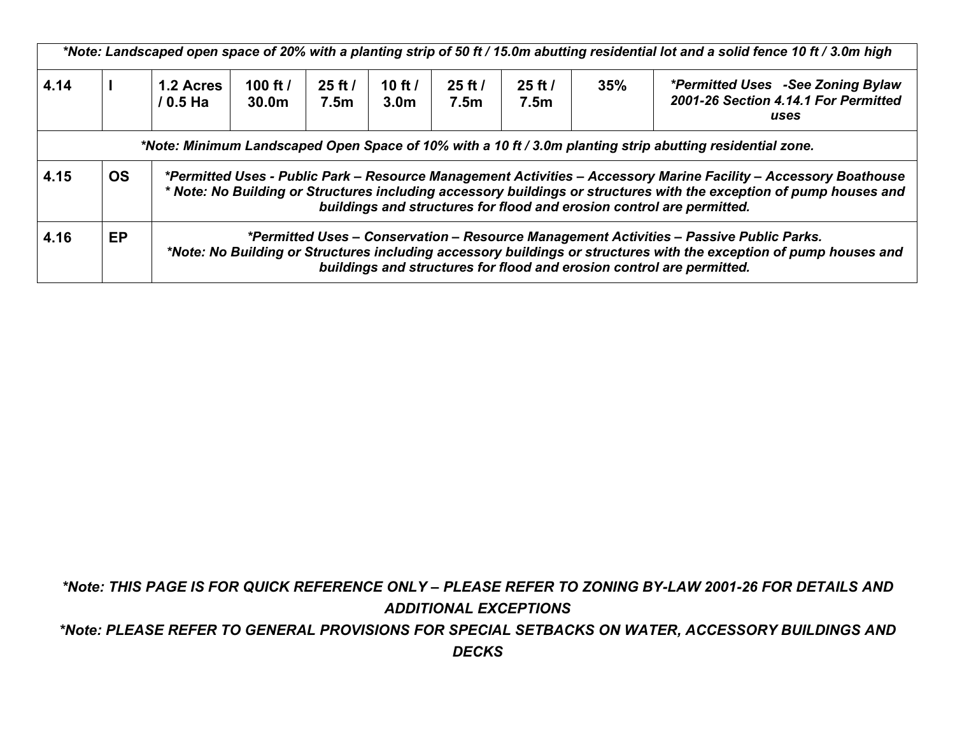|      |           |                         |                                 |                     |                               |                     |                                 |     | *Note: Landscaped open space of 20% with a planting strip of 50 ft / 15.0m abutting residential lot and a solid fence 10 ft / 3.0m high                                                                                                                                                                          |
|------|-----------|-------------------------|---------------------------------|---------------------|-------------------------------|---------------------|---------------------------------|-----|------------------------------------------------------------------------------------------------------------------------------------------------------------------------------------------------------------------------------------------------------------------------------------------------------------------|
| 4.14 |           | 1.2 Acres<br>$/ 0.5$ Ha | 100 ft $/$<br>30.0 <sub>m</sub> | $25$ ft $/$<br>7.5m | 10 ft $/$<br>3.0 <sub>m</sub> | $25$ ft $/$<br>7.5m | $25$ ft $/$<br>7.5 <sub>m</sub> | 35% | <i>*Permitted Uses -See Zoning Bylaw</i><br>2001-26 Section 4.14.1 For Permitted<br>uses                                                                                                                                                                                                                         |
|      |           |                         |                                 |                     |                               |                     |                                 |     | *Note: Minimum Landscaped Open Space of 10% with a 10 ft / 3.0m planting strip abutting residential zone.                                                                                                                                                                                                        |
| 4.15 | <b>OS</b> |                         |                                 |                     |                               |                     |                                 |     | *Permitted Uses - Public Park – Resource Management Activities – Accessory Marine Facility – Accessory Boathouse<br>* Note: No Building or Structures including accessory buildings or structures with the exception of pump houses and<br>buildings and structures for flood and erosion control are permitted. |
| 4.16 | <b>EP</b> |                         |                                 |                     |                               |                     |                                 |     | *Permitted Uses – Conservation – Resource Management Activities – Passive Public Parks.<br>*Note: No Building or Structures including accessory buildings or structures with the exception of pump houses and<br>buildings and structures for flood and erosion control are permitted.                           |

*\*Note: THIS PAGE IS FOR QUICK REFERENCE ONLY – PLEASE REFER TO ZONING BY-LAW 2001-26 FOR DETAILS AND ADDITIONAL EXCEPTIONS*

*\*Note: PLEASE REFER TO GENERAL PROVISIONS FOR SPECIAL SETBACKS ON WATER, ACCESSORY BUILDINGS AND DECKS*